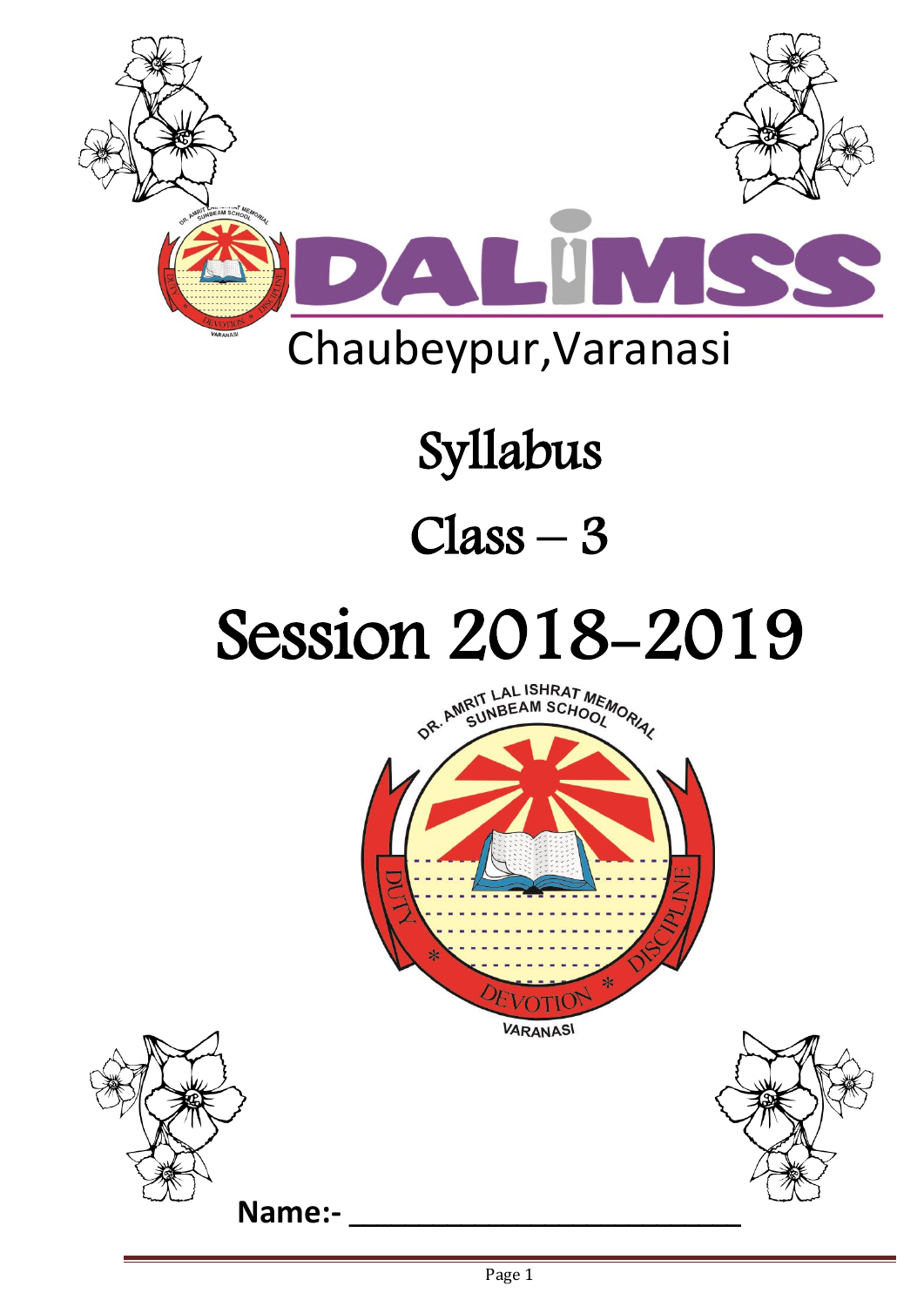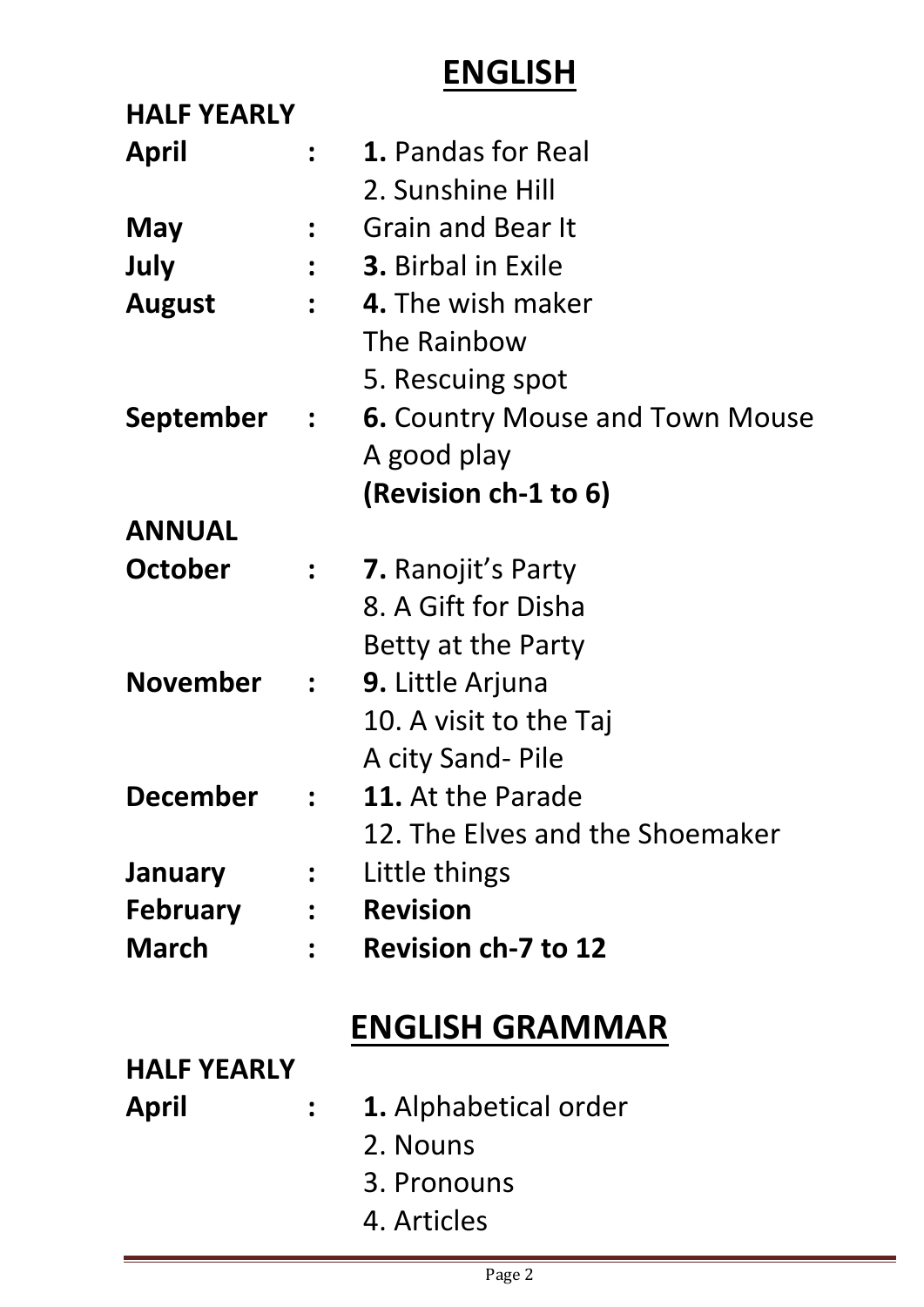### **ENGLISH**

| <b>HALF YEARLY</b> |                          |                                        |
|--------------------|--------------------------|----------------------------------------|
| <b>April</b>       |                          | 1. Pandas for Real                     |
|                    |                          | 2. Sunshine Hill                       |
| May                |                          | <b>Grain and Bear It</b>               |
| July               |                          | <b>3.</b> Birbal in Exile              |
| <b>August</b>      |                          | 4. The wish maker                      |
|                    |                          | The Rainbow                            |
|                    |                          | 5. Rescuing spot                       |
| September :        |                          | <b>6. Country Mouse and Town Mouse</b> |
|                    |                          | A good play                            |
|                    |                          | (Revision ch-1 to 6)                   |
| <b>ANNUAL</b>      |                          |                                        |
| <b>October</b>     | $\cdot$ .                | <b>7.</b> Ranojit's Party              |
|                    |                          | 8. A Gift for Disha                    |
|                    |                          | Betty at the Party                     |
| <b>November</b>    | $\ddot{\cdot}$           | <b>9.</b> Little Arjuna                |
|                    |                          | 10. A visit to the Taj                 |
|                    |                          | A city Sand- Pile                      |
| <b>December</b>    |                          | <b>11.</b> At the Parade               |
|                    |                          | 12. The Elves and the Shoemaker        |
| <b>January</b>     | $\frac{1}{2}$            | Little things                          |
| <b>February</b>    | $\overline{\phantom{a}}$ | <b>Revision</b>                        |
| <b>March</b>       |                          | <b>Revision ch-7 to 12</b>             |
|                    |                          |                                        |
|                    |                          | <b>ENGLISH GRAMMAR</b>                 |
| <b>HALF YEARLY</b> |                          |                                        |
| April              |                          | <b>1.</b> Alphabetical order           |
|                    |                          | 2. Nouns                               |
|                    |                          | 3. Pronouns                            |
|                    |                          | 4. Articles                            |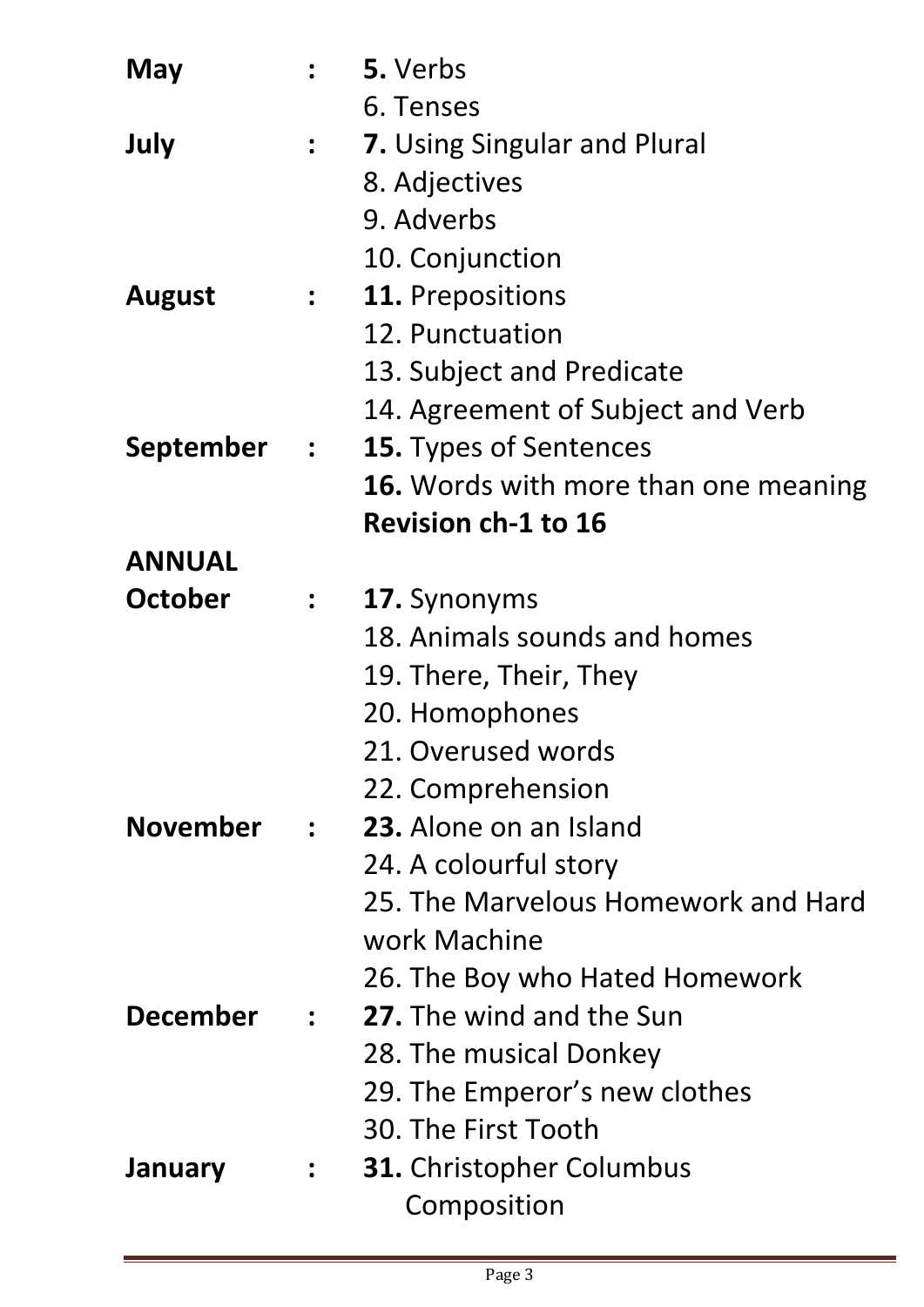| May              |                                         | 5. Verbs                                    |
|------------------|-----------------------------------------|---------------------------------------------|
|                  |                                         | 6. Tenses                                   |
| July             | $\frac{1}{2}$                           | <b>7.</b> Using Singular and Plural         |
|                  |                                         | 8. Adjectives                               |
|                  |                                         | 9. Adverbs                                  |
|                  |                                         | 10. Conjunction                             |
| <b>August</b>    | $\frac{1}{2}$                           | <b>11.</b> Prepositions                     |
|                  |                                         | 12. Punctuation                             |
|                  |                                         | 13. Subject and Predicate                   |
|                  |                                         | 14. Agreement of Subject and Verb           |
| <b>September</b> | $\mathcal{L} = \mathcal{L} \mathcal{L}$ | <b>15.</b> Types of Sentences               |
|                  |                                         | <b>16.</b> Words with more than one meaning |
|                  |                                         | <b>Revision ch-1 to 16</b>                  |
| <b>ANNUAL</b>    |                                         |                                             |
| <b>October</b>   | $\frac{1}{2}$                           | 17. Synonyms                                |
|                  |                                         | 18. Animals sounds and homes                |
|                  |                                         | 19. There, Their, They                      |
|                  |                                         | 20. Homophones                              |
|                  |                                         | 21. Overused words                          |
|                  |                                         | 22. Comprehension                           |
| <b>November</b>  | $\mathbf{r}$                            | 23. Alone on an Island                      |
|                  |                                         | 24. A colourful story                       |
|                  |                                         | 25. The Marvelous Homework and Hard         |
|                  |                                         | work Machine                                |
|                  |                                         | 26. The Boy who Hated Homework              |
| <b>December</b>  | $\mathcal{L}$                           | 27. The wind and the Sun                    |
|                  |                                         | 28. The musical Donkey                      |
|                  |                                         | 29. The Emperor's new clothes               |
|                  |                                         | 30. The First Tooth                         |
| <b>January</b>   |                                         | <b>31.</b> Christopher Columbus             |
|                  |                                         | Composition                                 |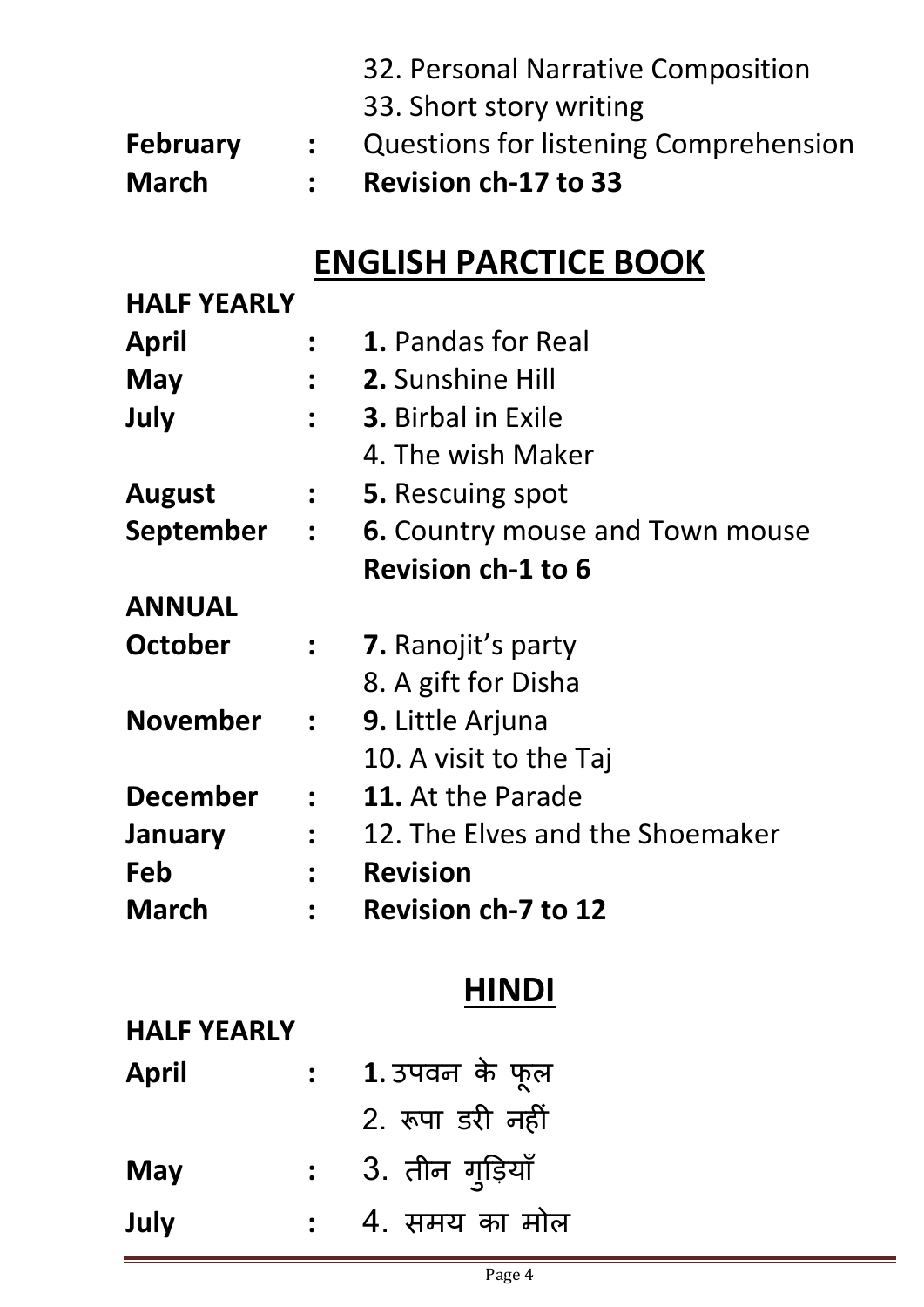|                 |              | 32. Personal Narrative Composition    |
|-----------------|--------------|---------------------------------------|
|                 |              | 33. Short story writing               |
| <b>February</b> |              | Questions for listening Comprehension |
| <b>March</b>    | $\mathbf{r}$ | <b>Revision ch-17 to 33</b>           |

## **ENGLISH PARCTICE BOOK**

| <b>HALF YEARLY</b> |                      |                                        |
|--------------------|----------------------|----------------------------------------|
| April              |                      | 1. Pandas for Real                     |
| May                | $\ddot{\phantom{a}}$ | 2. Sunshine Hill                       |
| July               | $\ddot{\bullet}$     | <b>3.</b> Birbal in Exile              |
|                    |                      | 4. The wish Maker                      |
| <b>August</b>      | $\ddot{\bullet}$     | <b>5.</b> Rescuing spot                |
| September          | $\mathbf{r}$         | <b>6.</b> Country mouse and Town mouse |
|                    |                      | <b>Revision ch-1 to 6</b>              |
| <b>ANNUAL</b>      |                      |                                        |
| <b>October</b>     | $\ddot{\bullet}$     | <b>7.</b> Ranojit's party              |
|                    |                      | 8. A gift for Disha                    |
| <b>November</b>    | $\ddot{\phantom{a}}$ | 9. Little Arjuna                       |
|                    |                      | 10. A visit to the Taj                 |
| <b>December</b>    | $\ddot{\phantom{a}}$ | 11. At the Parade                      |
| January            | $\ddot{\phantom{a}}$ | 12. The Elves and the Shoemaker        |
| Feb                | $\bullet$            | <b>Revision</b>                        |
| <b>March</b>       |                      | <b>Revision ch-7 to 12</b>             |

## **HINDI**

#### **HALF YEARLY**

| <b>April</b> | 1. उपवन के फूल   |
|--------------|------------------|
|              | 2. रूपा डरी नहीं |
| <b>May</b>   | 3. तीन ग्इियाँ   |
| July         | 4. समय का मोल    |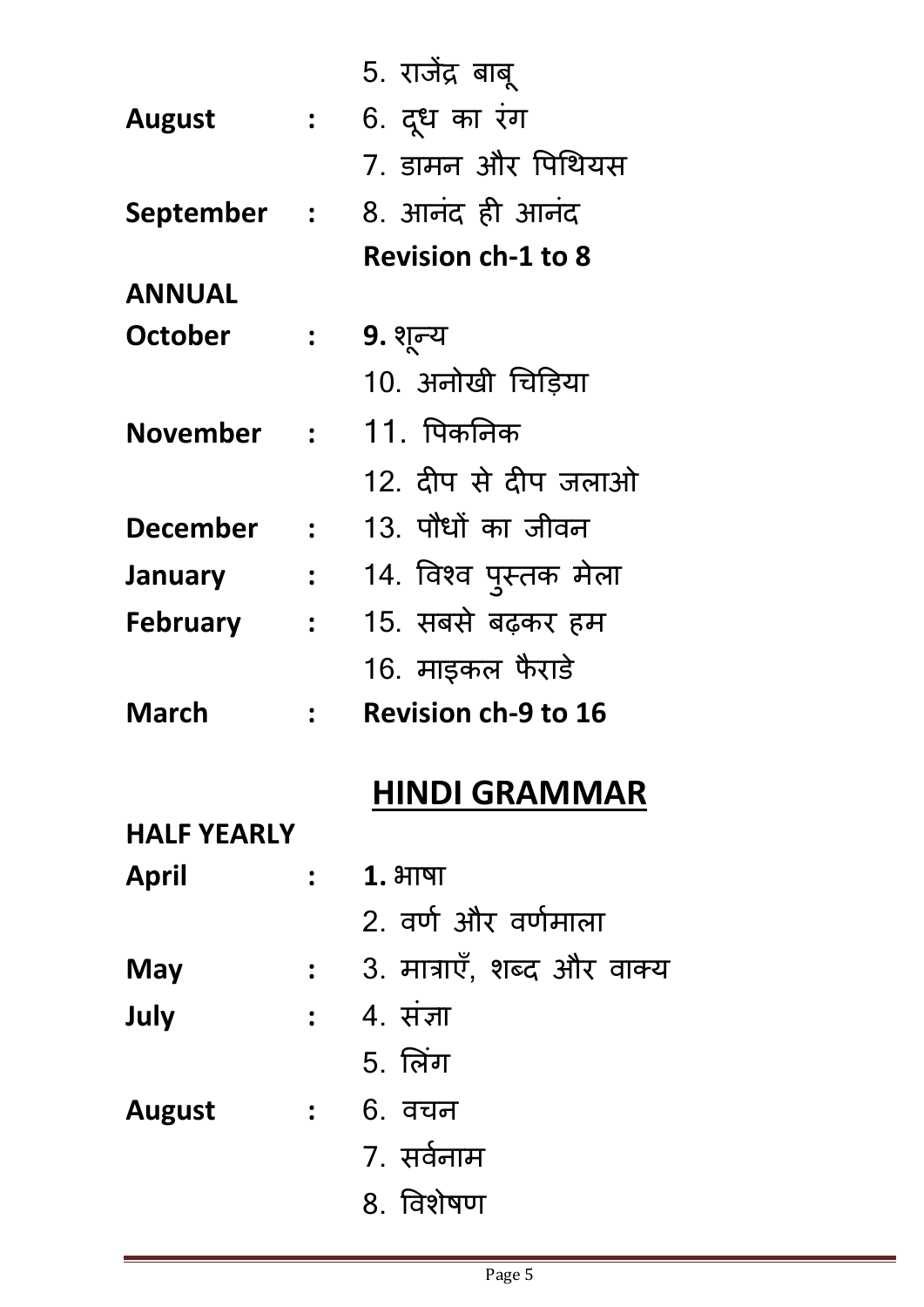|                    |                      | 5. राजेंद्र बाबू           |
|--------------------|----------------------|----------------------------|
| August             | $\mathbf{L}$         | 6. दूध का रंग              |
|                    |                      | 7. डामन और पिथियस          |
| September :        |                      | 8. आनंद ही आनंद            |
|                    |                      | <b>Revision ch-1 to 8</b>  |
| <b>ANNUAL</b>      |                      |                            |
| October            | $\ddot{\phantom{a}}$ | 9. शून्य                   |
|                    |                      | 10. अनोखी चिड़िया          |
| <b>November</b>    | $\frac{1}{2}$        | 11. पिकनिक                 |
|                    |                      | 12. दीप से दीप जलाओ        |
| <b>December</b>    | $\mathbf{r}$         | 13. पौधों का जीवन          |
| January            | $\frac{1}{2}$        | 14. विश्व पुस्तक मेला      |
| <b>February</b>    | $\ddot{\phantom{1}}$ | 15. सबसे बढ़कर हम          |
|                    |                      | 16. माइकल फैराडे           |
| March              |                      | <b>Revision ch-9 to 16</b> |
|                    |                      | <b>HINDI GRAMMAR</b>       |
| <b>HALF YEARLY</b> |                      |                            |
| April              |                      | $1.3$ गाषा                 |
|                    |                      | 2. वर्ण और वर्णमाला        |
| May                | $\ddot{\bullet}$     | 3. मात्राएँ, शब्द और वाक्य |
| July               |                      | <b>:</b> 4. संज्ञा         |
|                    |                      | <b>5. लिंग</b>             |
| August             |                      | <u>: 6. वचन</u>            |
|                    |                      | 7. सर्वनाम                 |
|                    |                      | 8. विशेषण                  |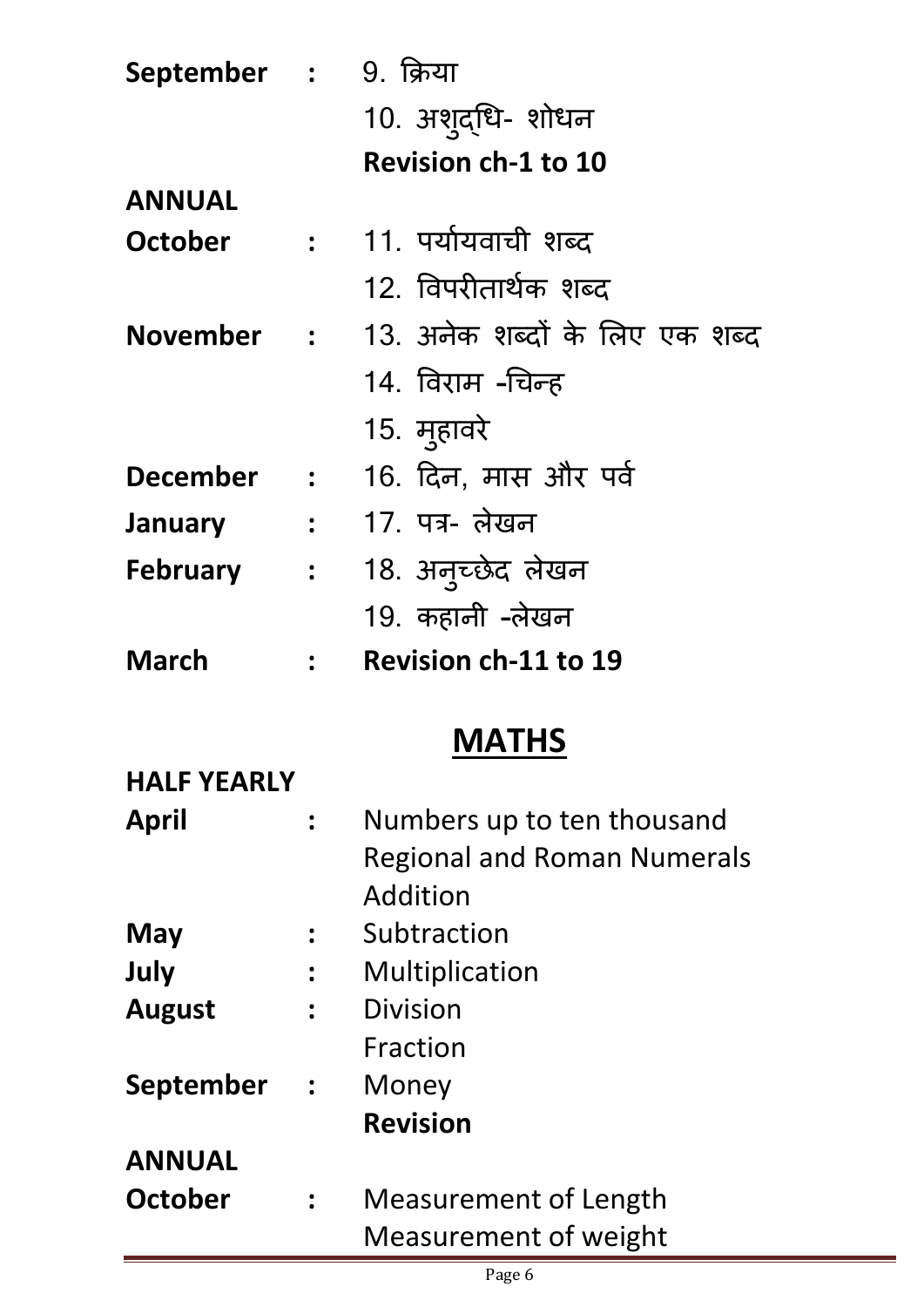| September : 9. क्रिया |                                         |                                           |
|-----------------------|-----------------------------------------|-------------------------------------------|
|                       |                                         | 10. अशुद्धि- शोधन                         |
|                       |                                         | <b>Revision ch-1 to 10</b>                |
| <b>ANNUAL</b>         |                                         |                                           |
| October               |                                         | :      11. पर्यायवाची शब्द                |
|                       |                                         | 12. विपरीतार्थक शब्द                      |
|                       |                                         | November : 13. अनेक शब्दों के लिए एक शब्द |
|                       |                                         | 14. विराम -चिन्ह                          |
|                       |                                         | 15. मुहावरे                               |
| <b>December</b>       | $\mathbf{r} = \mathbf{r}$               | 16. दिन, मास और पर्व                      |
| <b>January</b>        | $\mathcal{L} = \mathcal{L} \mathcal{L}$ | 17. पत्र- लेखन                            |
| <b>February</b>       | $\mathcal{L} = \frac{1}{2}$             | 18. अनुच्छेद लेखन                         |
|                       |                                         | 19. कहानी -लेखन                           |
| March                 |                                         | <b>Revision ch-11 to 19</b>               |
|                       |                                         | <b>MATHS</b>                              |
| <b>HALF YEARLY</b>    |                                         |                                           |
| April                 |                                         | Numbers up to ten thousand                |
|                       |                                         | <b>Regional and Roman Numerals</b>        |
|                       |                                         | Addition                                  |
| May                   |                                         | Subtraction                               |
| July                  |                                         | Multiplication                            |
| <b>August</b>         |                                         | <b>Division</b>                           |
|                       |                                         | Fraction                                  |
| September             | $\ddot{\phantom{a}}$                    | Money                                     |
|                       |                                         | <b>Revision</b>                           |
| <b>ANNUAL</b>         |                                         |                                           |

**October :** Measurement of Length Measurement of weight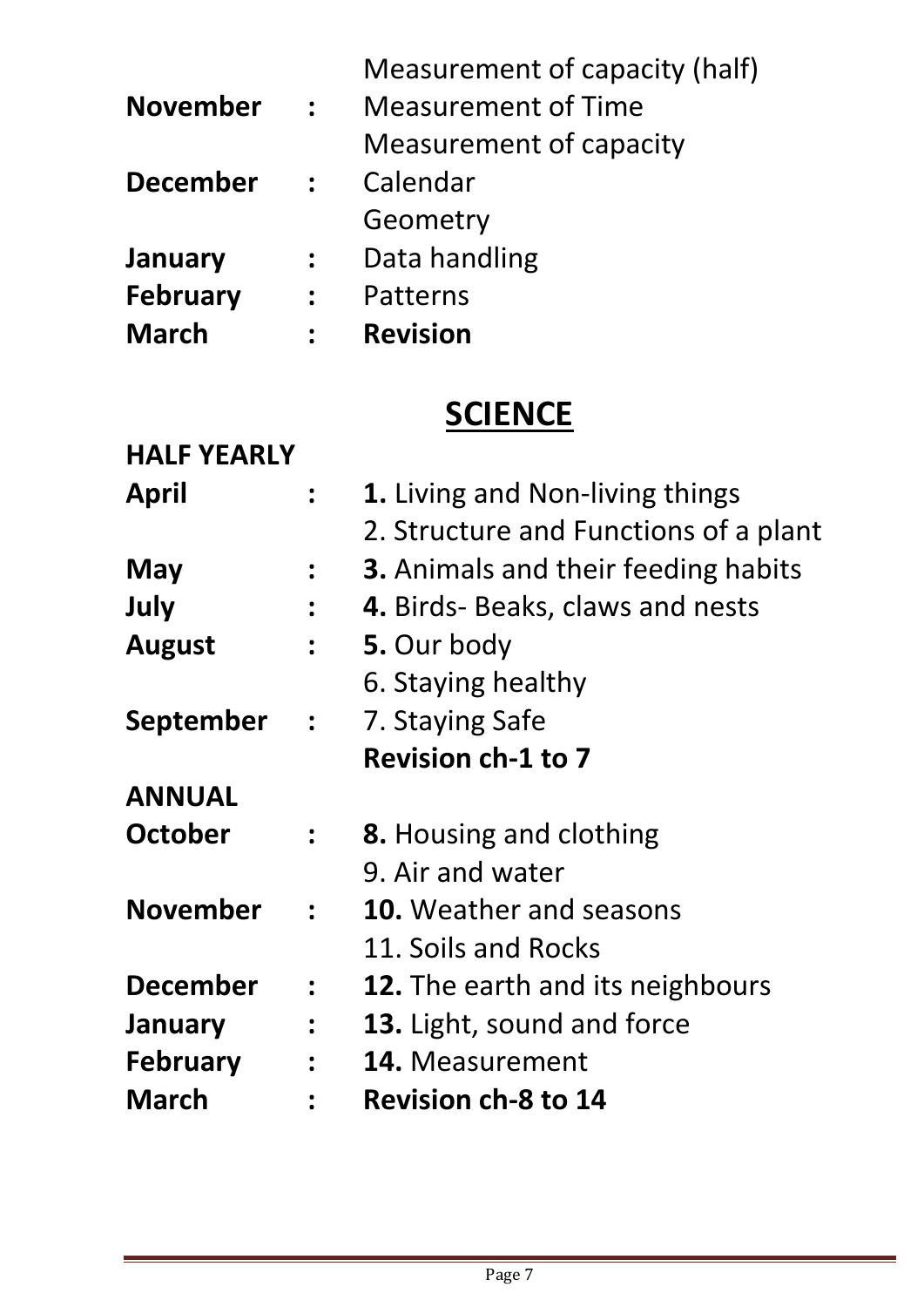|                 |                | Measurement of capacity (half) |
|-----------------|----------------|--------------------------------|
| <b>November</b> | $\ddot{\cdot}$ | <b>Measurement of Time</b>     |
|                 |                | Measurement of capacity        |
| <b>December</b> | $\ddot{\cdot}$ | Calendar                       |
|                 |                | Geometry                       |
| January         | $\ddot{\cdot}$ | Data handling                  |
| <b>February</b> | $\ddot{\cdot}$ | Patterns                       |
| <b>March</b>    |                | <b>Revision</b>                |

## **SCIENCE**

| <b>HALF YEARLY</b> |                      |                                            |
|--------------------|----------------------|--------------------------------------------|
| April              |                      | <b>1.</b> Living and Non-living things     |
|                    |                      | 2. Structure and Functions of a plant      |
| May                |                      | <b>3.</b> Animals and their feeding habits |
| July               |                      | 4. Birds- Beaks, claws and nests           |
| <b>August</b>      |                      | 5. Our body                                |
|                    |                      | 6. Staying healthy                         |
| September          | $\ddot{\bullet}$     | 7. Staying Safe                            |
|                    |                      | <b>Revision ch-1 to 7</b>                  |
| <b>ANNUAL</b>      |                      |                                            |
| October            |                      | <b>8.</b> Housing and clothing             |
|                    |                      | 9. Air and water                           |
| <b>November</b>    | $\ddot{\bullet}$     | <b>10.</b> Weather and seasons             |
|                    |                      | 11. Soils and Rocks                        |
| <b>December</b>    | $\ddot{\bullet}$     | <b>12.</b> The earth and its neighbours    |
| January            |                      | 13. Light, sound and force                 |
| <b>February</b>    | $\ddot{\phantom{a}}$ | 14. Measurement                            |
| <b>March</b>       |                      | <b>Revision ch-8 to 14</b>                 |
|                    |                      |                                            |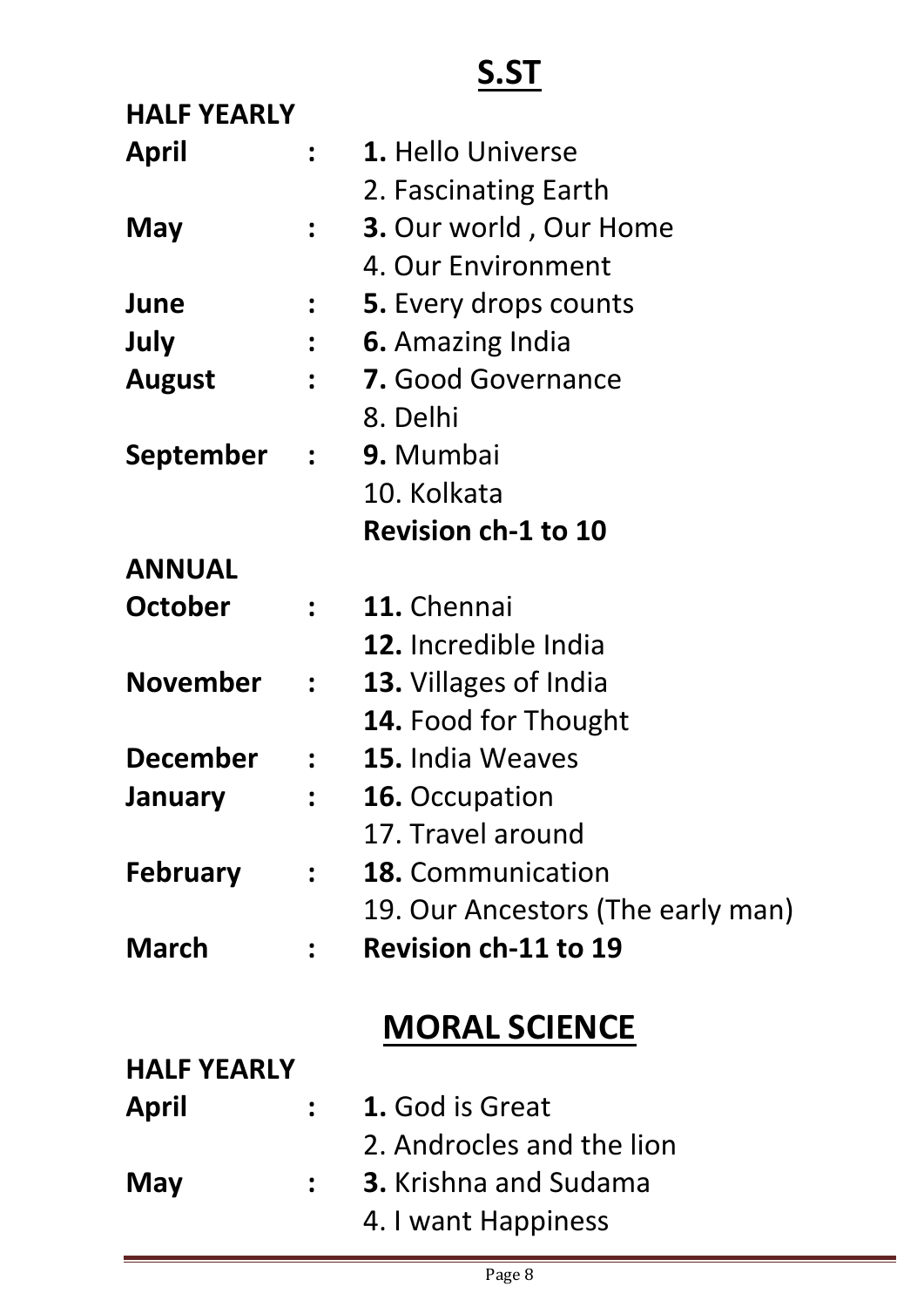# **S.ST**

| <b>HALF YEARLY</b> |                                   |
|--------------------|-----------------------------------|
|                    | : 1. Hello Universe               |
|                    | 2. Fascinating Earth              |
|                    | 3. Our world, Our Home            |
|                    | 4. Our Environment                |
|                    | <b>5.</b> Every drops counts      |
|                    | <b>6.</b> Amazing India           |
| $\ddot{\bullet}$   | 7. Good Governance                |
|                    | 8. Delhi                          |
|                    | September : 9. Mumbai             |
|                    | 10. Kolkata                       |
|                    | <b>Revision ch-1 to 10</b>        |
|                    |                                   |
|                    | : 11. Chennai                     |
|                    | 12. Incredible India              |
| $\frac{1}{2}$      | <b>13.</b> Villages of India      |
|                    | <b>14. Food for Thought</b>       |
|                    | : 15. India Weaves                |
|                    | <b>16.</b> Occupation             |
|                    | 17. Travel around                 |
| $\ddot{\cdot}$     | <b>18.</b> Communication          |
|                    | 19. Our Ancestors (The early man) |
|                    | <b>Revision ch-11 to 19</b>       |
|                    | <b>MORAL SCIENCE</b>              |
| <b>HALF YEARLY</b> |                                   |
|                    | 1. God is Great                   |
|                    | 2. Androcles and the lion         |
|                    | <b>3.</b> Krishna and Sudama      |
|                    | 4. I want Happiness               |
|                    |                                   |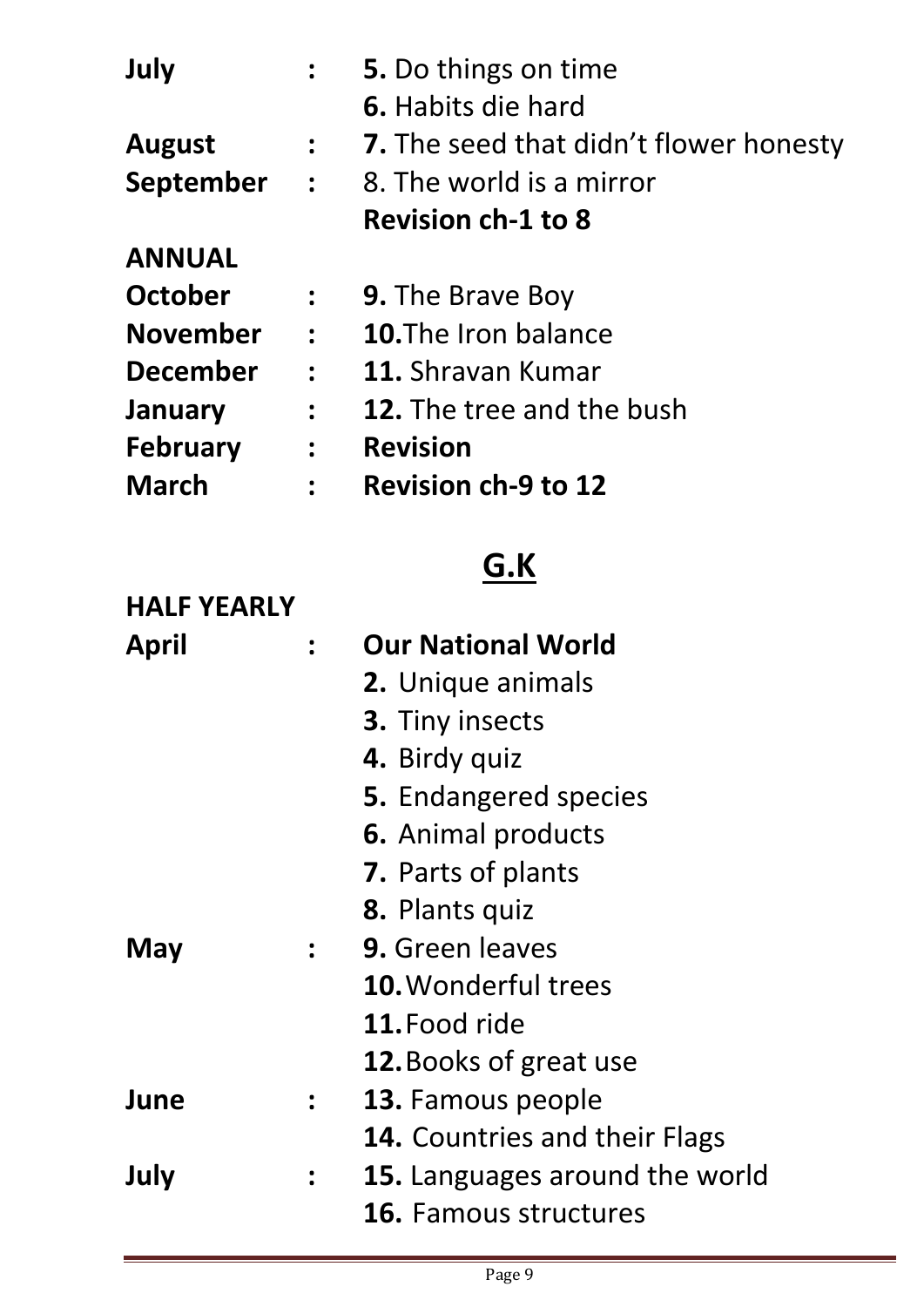| July            |                  | 5. Do things on time                        |
|-----------------|------------------|---------------------------------------------|
|                 |                  | <b>6.</b> Habits die hard                   |
| <b>August</b>   | $\frac{1}{2}$    | 7. The seed that didn't flower honesty      |
|                 |                  | <b>September :</b> 8. The world is a mirror |
|                 |                  | <b>Revision ch-1 to 8</b>                   |
| <b>ANNUAL</b>   |                  |                                             |
| October         | $\frac{1}{2}$    | <b>9. The Brave Boy</b>                     |
| <b>November</b> | $\mathbf{r}$     | <b>10.</b> The Iron balance                 |
| <b>December</b> | $\mathbf{r}$     | 11. Shravan Kumar                           |
| January         | $\ddot{\bullet}$ | <b>12.</b> The tree and the bush            |
| <b>February</b> | $\ddot{\bullet}$ | <b>Revision</b>                             |
| <b>March</b>    | $\ddot{\cdot}$   | <b>Revision ch-9 to 12</b>                  |

# **G.K**

| <b>HALF YEARLY</b> |                      |                                      |
|--------------------|----------------------|--------------------------------------|
| April              | $\ddot{\phantom{a}}$ | <b>Our National World</b>            |
|                    |                      | <b>2.</b> Unique animals             |
|                    |                      | 3. Tiny insects                      |
|                    |                      | 4. Birdy quiz                        |
|                    |                      | <b>5.</b> Endangered species         |
|                    |                      | 6. Animal products                   |
|                    |                      | 7. Parts of plants                   |
|                    |                      | 8. Plants quiz                       |
| May                | $\mathbf{L}$         | 9. Green leaves                      |
|                    |                      | <b>10. Wonderful trees</b>           |
|                    |                      | 11. Food ride                        |
|                    |                      | <b>12.</b> Books of great use        |
| June               | $\ddot{\bullet}$     | <b>13.</b> Famous people             |
|                    |                      | <b>14.</b> Countries and their Flags |
| July               | $\ddot{\phantom{a}}$ | 15. Languages around the world       |
|                    |                      | <b>16.</b> Famous structures         |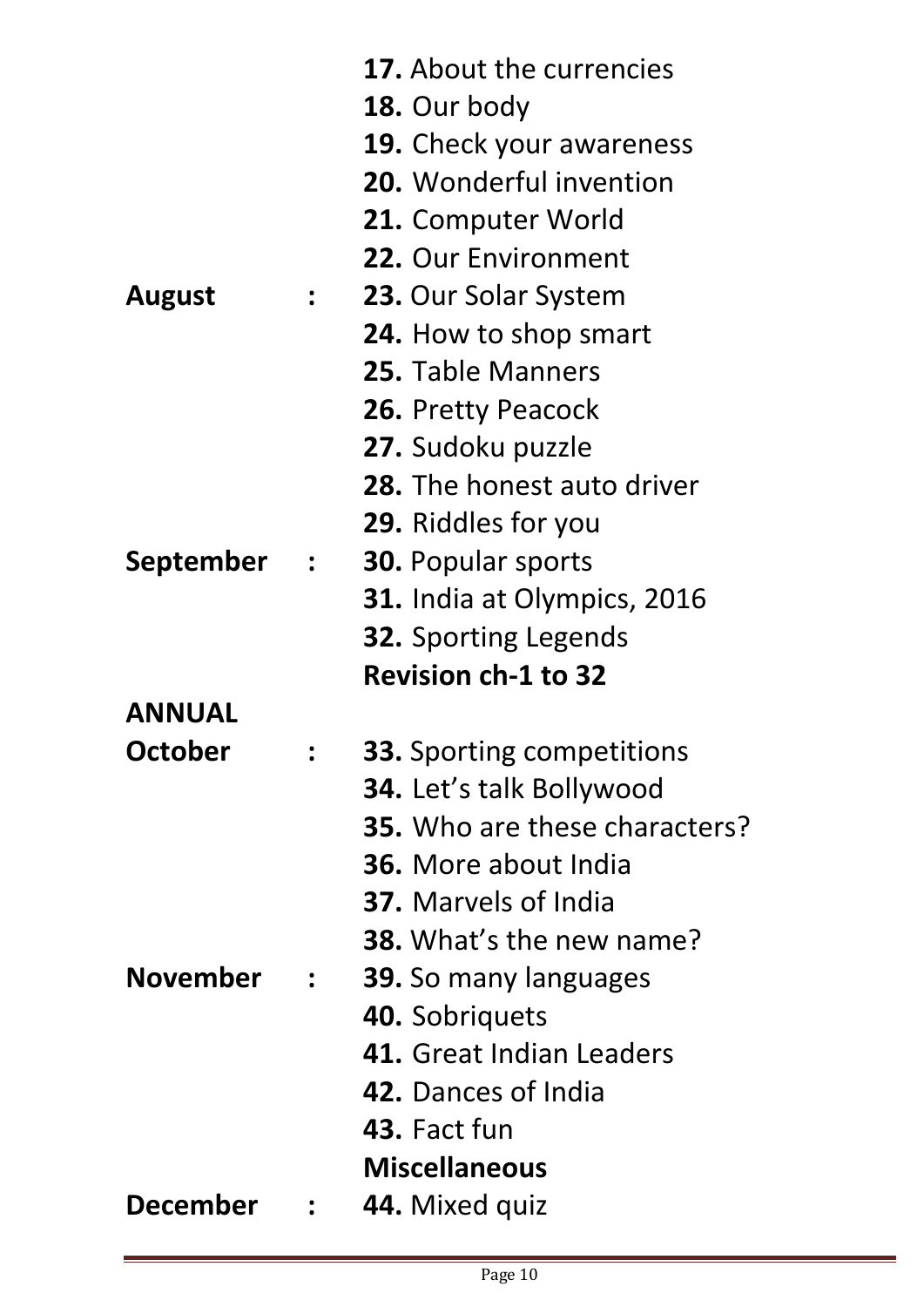|                 |                                         | <b>17.</b> About the currencies      |
|-----------------|-----------------------------------------|--------------------------------------|
|                 |                                         | 18. Our body                         |
|                 |                                         | <b>19.</b> Check your awareness      |
|                 |                                         | 20. Wonderful invention              |
|                 |                                         | <b>21.</b> Computer World            |
|                 |                                         | 22. Our Environment                  |
| <b>August</b>   | $\frac{1}{2}$                           | 23. Our Solar System                 |
|                 |                                         | 24. How to shop smart                |
|                 |                                         | 25. Table Manners                    |
|                 |                                         | <b>26. Pretty Peacock</b>            |
|                 |                                         | 27. Sudoku puzzle                    |
|                 |                                         | <b>28.</b> The honest auto driver    |
|                 |                                         | <b>29.</b> Riddles for you           |
| September       | $\mathcal{L} = \frac{1}{2} \mathcal{L}$ | <b>30. Popular sports</b>            |
|                 |                                         | 31. India at Olympics, 2016          |
|                 |                                         | <b>32.</b> Sporting Legends          |
|                 |                                         | <b>Revision ch-1 to 32</b>           |
| <b>ANNUAL</b>   |                                         |                                      |
| October         |                                         | <b>33.</b> Sporting competitions     |
|                 |                                         | <b>34.</b> Let's talk Bollywood      |
|                 |                                         | <b>35.</b> Who are these characters? |
|                 |                                         | <b>36.</b> More about India          |
|                 |                                         | <b>37.</b> Marvels of India          |
|                 |                                         | <b>38.</b> What's the new name?      |
| <b>November</b> | $\ddot{\cdot}$                          | <b>39.</b> So many languages         |
|                 |                                         | 40. Sobriquets                       |
|                 |                                         | <b>41.</b> Great Indian Leaders      |
|                 |                                         | <b>42.</b> Dances of India           |
|                 |                                         | 43. Fact fun                         |
|                 |                                         | <b>Miscellaneous</b>                 |
| <b>December</b> |                                         | 44. Mixed quiz                       |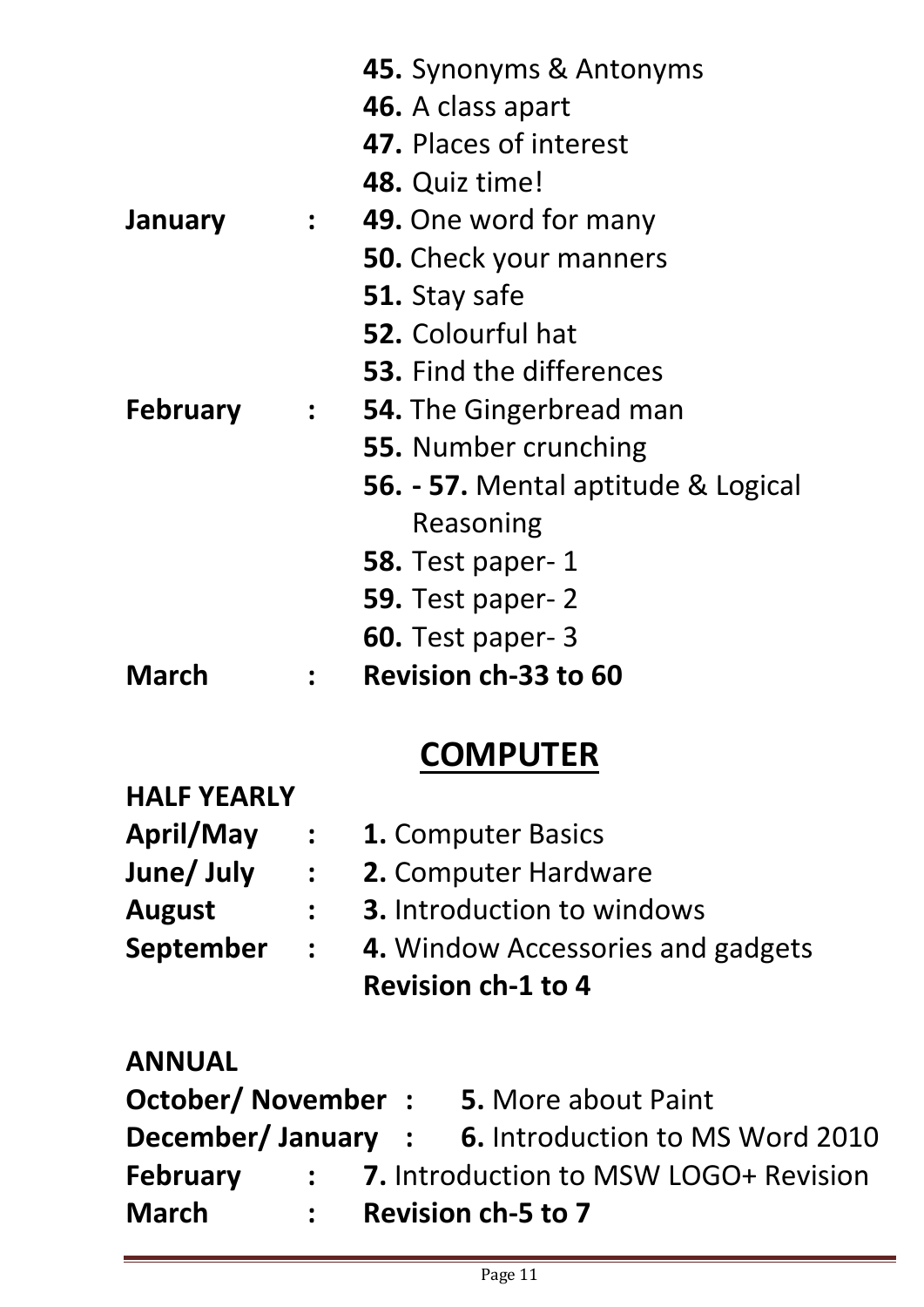|                 |                                                           | 45. Synonyms & Antonyms             |
|-----------------|-----------------------------------------------------------|-------------------------------------|
|                 |                                                           | 46. A class apart                   |
|                 |                                                           | 47. Places of interest              |
|                 |                                                           | <b>48.</b> Quiz time!               |
| <b>January</b>  | $\frac{1}{2}$                                             | 49. One word for many               |
|                 |                                                           | 50. Check your manners              |
|                 |                                                           | 51. Stay safe                       |
|                 |                                                           | <b>52.</b> Colourful hat            |
|                 |                                                           | <b>53.</b> Find the differences     |
| <b>February</b> | $\mathcal{L}=\frac{1}{2}$ . The $\mathcal{L}=\frac{1}{2}$ | <b>54.</b> The Gingerbread man      |
|                 |                                                           | <b>55.</b> Number crunching         |
|                 |                                                           | 56. - 57. Mental aptitude & Logical |
|                 |                                                           | Reasoning                           |
|                 |                                                           | <b>58.</b> Test paper- 1            |
|                 |                                                           | <b>59.</b> Test paper- 2            |
|                 |                                                           | <b>60.</b> Test paper- 3            |
| March           |                                                           | <b>Revision ch-33 to 60</b>         |

## **COMPUTER**

| <b>HALF YEARLY</b> |                 |                                   |
|--------------------|-----------------|-----------------------------------|
| <b>April/May</b>   |                 | : 1. Computer Basics              |
| June/ July         |                 | : <b>2. Computer Hardware</b>     |
| <b>August</b>      | $\mathbf{L}$    | <b>3.</b> Introduction to windows |
| September          | $\frac{1}{2}$ . | 4. Window Accessories and gadgets |
|                    |                 | <b>Revision ch-1 to 4</b>         |

#### **ANNUAL**

| October/ November : |              |  | <b>5.</b> More about Paint                                 |
|---------------------|--------------|--|------------------------------------------------------------|
|                     |              |  | <b>December/ January : 6. Introduction to MS Word 2010</b> |
| February            |              |  | : 7. Introduction to MSW LOGO+ Revision                    |
| <b>March</b>        | $\mathbf{L}$ |  | <b>Revision ch-5 to 7</b>                                  |